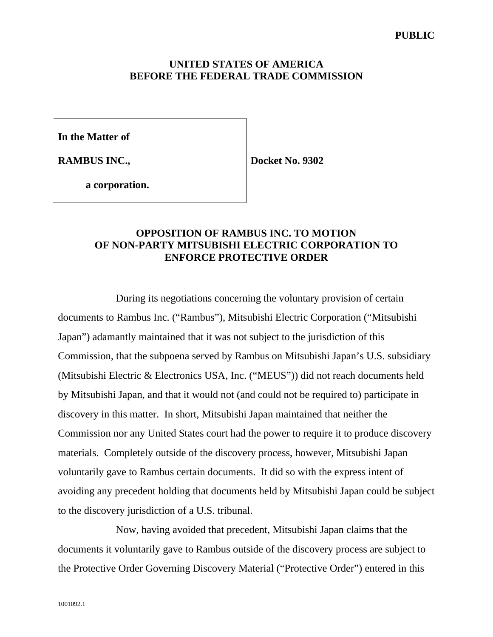### **UNITED STATES OF AMERICA BEFORE THE FEDERAL TRADE COMMISSION**

**In the Matter of** 

**RAMBUS INC.,** 

**Docket No. 9302** 

 **a corporation.**

# **OPPOSITION OF RAMBUS INC. TO MOTION OF NON-PARTY MITSUBISHI ELECTRIC CORPORATION TO ENFORCE PROTECTIVE ORDER**

During its negotiations concerning the voluntary provision of certain documents to Rambus Inc. ("Rambus"), Mitsubishi Electric Corporation ("Mitsubishi Japan") adamantly maintained that it was not subject to the jurisdiction of this Commission, that the subpoena served by Rambus on Mitsubishi Japan's U.S. subsidiary (Mitsubishi Electric & Electronics USA, Inc. ("MEUS")) did not reach documents held by Mitsubishi Japan, and that it would not (and could not be required to) participate in discovery in this matter. In short, Mitsubishi Japan maintained that neither the Commission nor any United States court had the power to require it to produce discovery materials. Completely outside of the discovery process, however, Mitsubishi Japan voluntarily gave to Rambus certain documents. It did so with the express intent of avoiding any precedent holding that documents held by Mitsubishi Japan could be subject to the discovery jurisdiction of a U.S. tribunal.

Now, having avoided that precedent, Mitsubishi Japan claims that the documents it voluntarily gave to Rambus outside of the discovery process are subject to the Protective Order Governing Discovery Material ("Protective Order") entered in this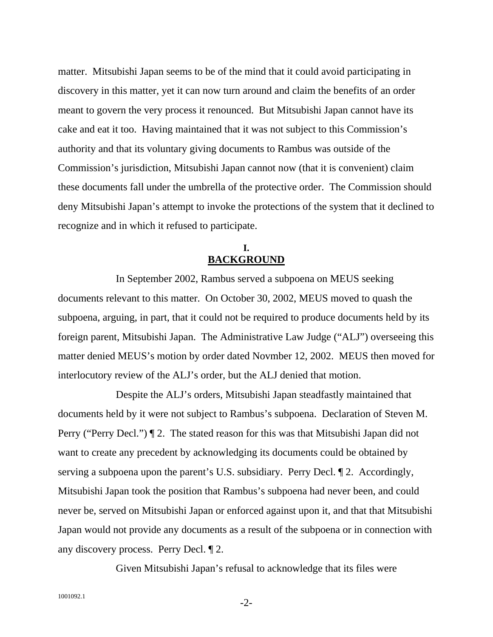matter. Mitsubishi Japan seems to be of the mind that it could avoid participating in discovery in this matter, yet it can now turn around and claim the benefits of an order meant to govern the very process it renounced. But Mitsubishi Japan cannot have its cake and eat it too. Having maintained that it was not subject to this Commission's authority and that its voluntary giving documents to Rambus was outside of the Commission's jurisdiction, Mitsubishi Japan cannot now (that it is convenient) claim these documents fall under the umbrella of the protective order. The Commission should deny Mitsubishi Japan's attempt to invoke the protections of the system that it declined to recognize and in which it refused to participate.

# **I. BACKGROUND**

In September 2002, Rambus served a subpoena on MEUS seeking documents relevant to this matter. On October 30, 2002, MEUS moved to quash the subpoena, arguing, in part, that it could not be required to produce documents held by its foreign parent, Mitsubishi Japan. The Administrative Law Judge ("ALJ") overseeing this matter denied MEUS's motion by order dated Novmber 12, 2002. MEUS then moved for interlocutory review of the ALJ's order, but the ALJ denied that motion.

Despite the ALJ's orders, Mitsubishi Japan steadfastly maintained that documents held by it were not subject to Rambus's subpoena. Declaration of Steven M. Perry ("Perry Decl.") ¶ 2. The stated reason for this was that Mitsubishi Japan did not want to create any precedent by acknowledging its documents could be obtained by serving a subpoena upon the parent's U.S. subsidiary. Perry Decl. ¶ 2. Accordingly, Mitsubishi Japan took the position that Rambus's subpoena had never been, and could never be, served on Mitsubishi Japan or enforced against upon it, and that that Mitsubishi Japan would not provide any documents as a result of the subpoena or in connection with any discovery process. Perry Decl. ¶ 2.

Given Mitsubishi Japan's refusal to acknowledge that its files were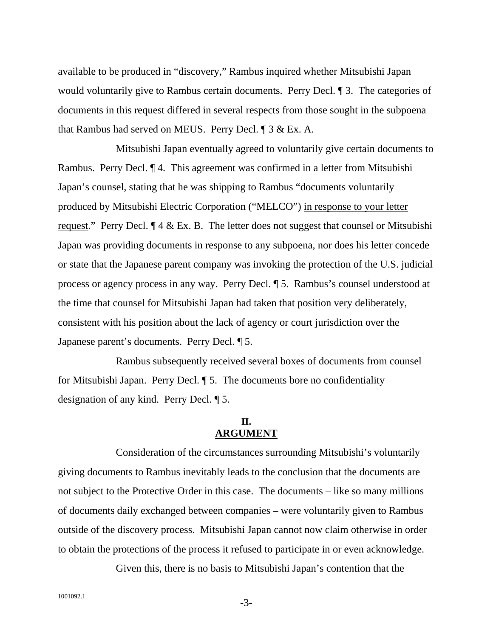available to be produced in "discovery," Rambus inquired whether Mitsubishi Japan would voluntarily give to Rambus certain documents. Perry Decl. ¶ 3. The categories of documents in this request differed in several respects from those sought in the subpoena that Rambus had served on MEUS. Perry Decl. ¶ 3 & Ex. A.

Mitsubishi Japan eventually agreed to voluntarily give certain documents to Rambus. Perry Decl. ¶ 4. This agreement was confirmed in a letter from Mitsubishi Japan's counsel, stating that he was shipping to Rambus "documents voluntarily produced by Mitsubishi Electric Corporation ("MELCO") in response to your letter request." Perry Decl.  $\P$  4 & Ex. B. The letter does not suggest that counsel or Mitsubishi Japan was providing documents in response to any subpoena, nor does his letter concede or state that the Japanese parent company was invoking the protection of the U.S. judicial process or agency process in any way. Perry Decl. ¶ 5. Rambus's counsel understood at the time that counsel for Mitsubishi Japan had taken that position very deliberately, consistent with his position about the lack of agency or court jurisdiction over the Japanese parent's documents. Perry Decl. ¶ 5.

Rambus subsequently received several boxes of documents from counsel for Mitsubishi Japan. Perry Decl. ¶ 5. The documents bore no confidentiality designation of any kind. Perry Decl. ¶ 5.

### **II. ARGUMENT**

Consideration of the circumstances surrounding Mitsubishi's voluntarily giving documents to Rambus inevitably leads to the conclusion that the documents are not subject to the Protective Order in this case. The documents – like so many millions of documents daily exchanged between companies – were voluntarily given to Rambus outside of the discovery process. Mitsubishi Japan cannot now claim otherwise in order to obtain the protections of the process it refused to participate in or even acknowledge.

Given this, there is no basis to Mitsubishi Japan's contention that the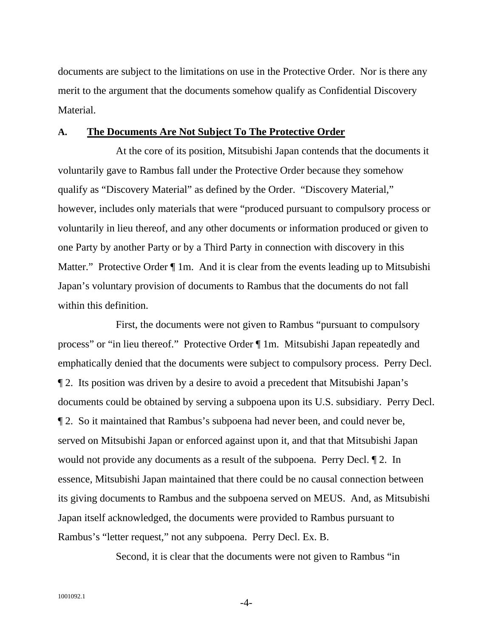documents are subject to the limitations on use in the Protective Order. Nor is there any merit to the argument that the documents somehow qualify as Confidential Discovery Material.

#### **A. The Documents Are Not Subject To The Protective Order**

At the core of its position, Mitsubishi Japan contends that the documents it voluntarily gave to Rambus fall under the Protective Order because they somehow qualify as "Discovery Material" as defined by the Order. "Discovery Material," however, includes only materials that were "produced pursuant to compulsory process or voluntarily in lieu thereof, and any other documents or information produced or given to one Party by another Party or by a Third Party in connection with discovery in this Matter." Protective Order  $\P$  1m. And it is clear from the events leading up to Mitsubishi Japan's voluntary provision of documents to Rambus that the documents do not fall within this definition.

First, the documents were not given to Rambus "pursuant to compulsory process" or "in lieu thereof." Protective Order ¶ 1m. Mitsubishi Japan repeatedly and emphatically denied that the documents were subject to compulsory process. Perry Decl. ¶ 2. Its position was driven by a desire to avoid a precedent that Mitsubishi Japan's documents could be obtained by serving a subpoena upon its U.S. subsidiary. Perry Decl. ¶ 2. So it maintained that Rambus's subpoena had never been, and could never be, served on Mitsubishi Japan or enforced against upon it, and that that Mitsubishi Japan would not provide any documents as a result of the subpoena. Perry Decl. ¶ 2. In essence, Mitsubishi Japan maintained that there could be no causal connection between its giving documents to Rambus and the subpoena served on MEUS. And, as Mitsubishi Japan itself acknowledged, the documents were provided to Rambus pursuant to Rambus's "letter request," not any subpoena. Perry Decl. Ex. B.

Second, it is clear that the documents were not given to Rambus "in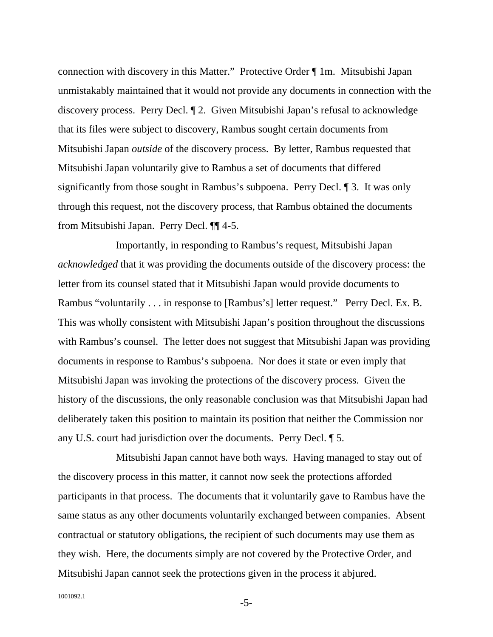connection with discovery in this Matter." Protective Order ¶ 1m. Mitsubishi Japan unmistakably maintained that it would not provide any documents in connection with the discovery process. Perry Decl. ¶ 2. Given Mitsubishi Japan's refusal to acknowledge that its files were subject to discovery, Rambus sought certain documents from Mitsubishi Japan *outside* of the discovery process. By letter, Rambus requested that Mitsubishi Japan voluntarily give to Rambus a set of documents that differed significantly from those sought in Rambus's subpoena. Perry Decl. ¶ 3. It was only through this request, not the discovery process, that Rambus obtained the documents from Mitsubishi Japan. Perry Decl. ¶¶ 4-5.

Importantly, in responding to Rambus's request, Mitsubishi Japan *acknowledged* that it was providing the documents outside of the discovery process: the letter from its counsel stated that it Mitsubishi Japan would provide documents to Rambus "voluntarily . . . in response to [Rambus's] letter request." Perry Decl. Ex. B. This was wholly consistent with Mitsubishi Japan's position throughout the discussions with Rambus's counsel. The letter does not suggest that Mitsubishi Japan was providing documents in response to Rambus's subpoena. Nor does it state or even imply that Mitsubishi Japan was invoking the protections of the discovery process. Given the history of the discussions, the only reasonable conclusion was that Mitsubishi Japan had deliberately taken this position to maintain its position that neither the Commission nor any U.S. court had jurisdiction over the documents. Perry Decl. ¶ 5.

Mitsubishi Japan cannot have both ways. Having managed to stay out of the discovery process in this matter, it cannot now seek the protections afforded participants in that process. The documents that it voluntarily gave to Rambus have the same status as any other documents voluntarily exchanged between companies. Absent contractual or statutory obligations, the recipient of such documents may use them as they wish. Here, the documents simply are not covered by the Protective Order, and Mitsubishi Japan cannot seek the protections given in the process it abjured.

1001092.1 -5-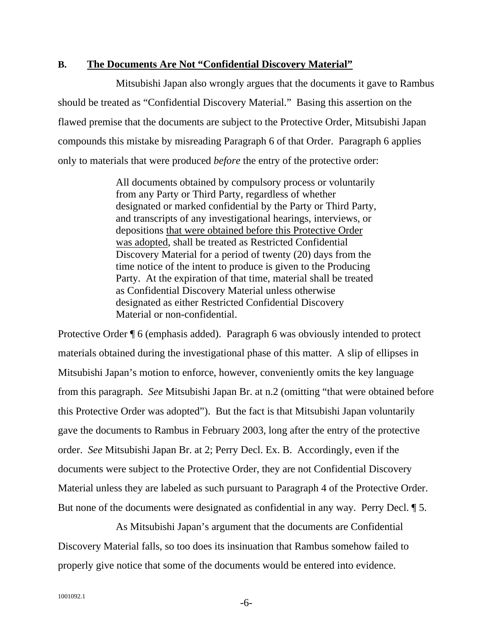### **B. The Documents Are Not "Confidential Discovery Material"**

Mitsubishi Japan also wrongly argues that the documents it gave to Rambus should be treated as "Confidential Discovery Material." Basing this assertion on the flawed premise that the documents are subject to the Protective Order, Mitsubishi Japan compounds this mistake by misreading Paragraph 6 of that Order. Paragraph 6 applies only to materials that were produced *before* the entry of the protective order:

> All documents obtained by compulsory process or voluntarily from any Party or Third Party, regardless of whether designated or marked confidential by the Party or Third Party, and transcripts of any investigational hearings, interviews, or depositions that were obtained before this Protective Order was adopted, shall be treated as Restricted Confidential Discovery Material for a period of twenty (20) days from the time notice of the intent to produce is given to the Producing Party. At the expiration of that time, material shall be treated as Confidential Discovery Material unless otherwise designated as either Restricted Confidential Discovery Material or non-confidential.

Protective Order ¶ 6 (emphasis added). Paragraph 6 was obviously intended to protect materials obtained during the investigational phase of this matter. A slip of ellipses in Mitsubishi Japan's motion to enforce, however, conveniently omits the key language from this paragraph. *See* Mitsubishi Japan Br. at n.2 (omitting "that were obtained before this Protective Order was adopted"). But the fact is that Mitsubishi Japan voluntarily gave the documents to Rambus in February 2003, long after the entry of the protective order. *See* Mitsubishi Japan Br. at 2; Perry Decl. Ex. B. Accordingly, even if the documents were subject to the Protective Order, they are not Confidential Discovery Material unless they are labeled as such pursuant to Paragraph 4 of the Protective Order. But none of the documents were designated as confidential in any way. Perry Decl. ¶ 5.

 As Mitsubishi Japan's argument that the documents are Confidential Discovery Material falls, so too does its insinuation that Rambus somehow failed to properly give notice that some of the documents would be entered into evidence.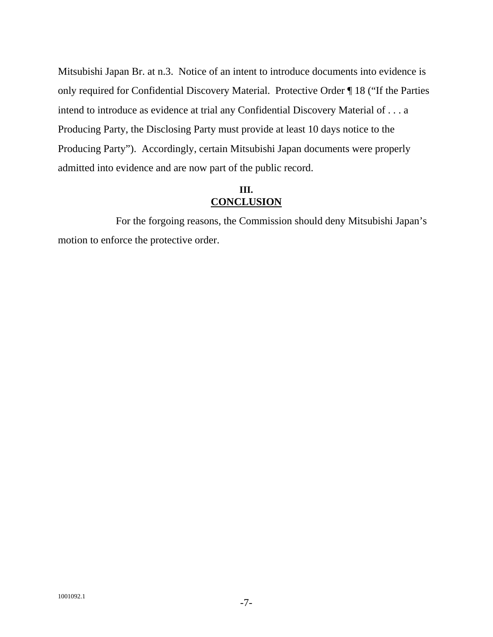Mitsubishi Japan Br. at n.3. Notice of an intent to introduce documents into evidence is only required for Confidential Discovery Material. Protective Order ¶ 18 ("If the Parties intend to introduce as evidence at trial any Confidential Discovery Material of . . . a Producing Party, the Disclosing Party must provide at least 10 days notice to the Producing Party"). Accordingly, certain Mitsubishi Japan documents were properly admitted into evidence and are now part of the public record.

# **III. CONCLUSION**

For the forgoing reasons, the Commission should deny Mitsubishi Japan's motion to enforce the protective order.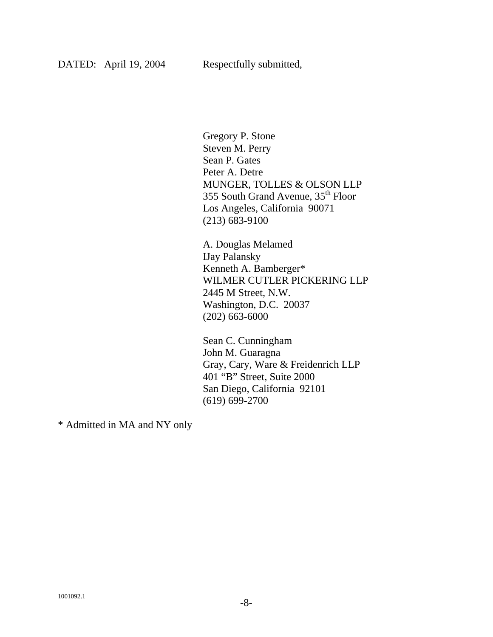Gregory P. Stone Steven M. Perry Sean P. Gates Peter A. Detre MUNGER, TOLLES & OLSON LLP 355 South Grand Avenue, 35<sup>th</sup> Floor Los Angeles, California 90071 (213) 683-9100

A. Douglas Melamed IJay Palansky Kenneth A. Bamberger\* WILMER CUTLER PICKERING LLP 2445 M Street, N.W. Washington, D.C. 20037 (202) 663-6000

Sean C. Cunningham John M. Guaragna Gray, Cary, Ware & Freidenrich LLP 401 "B" Street, Suite 2000 San Diego, California 92101 (619) 699-2700

\* Admitted in MA and NY only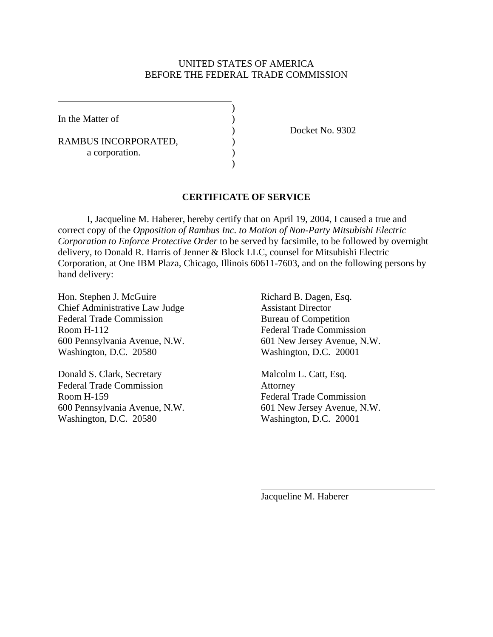### UNITED STATES OF AMERICA BEFORE THE FEDERAL TRADE COMMISSION

In the Matter of  $\qquad \qquad$  )

 $\overline{a}$ 

RAMBUS INCORPORATED,  $($ a corporation.  $\hspace{1.5cm}$ ) and  $\hspace{1.5cm}$  and  $\hspace{1.5cm}$  and  $\hspace{1.5cm}$ 

 $\overline{\phantom{a}}$ 

) Docket No. 9302

### **CERTIFICATE OF SERVICE**

I, Jacqueline M. Haberer, hereby certify that on April 19, 2004, I caused a true and correct copy of the *Opposition of Rambus Inc. to Motion of Non-Party Mitsubishi Electric Corporation to Enforce Protective Order* to be served by facsimile, to be followed by overnight delivery, to Donald R. Harris of Jenner & Block LLC, counsel for Mitsubishi Electric Corporation, at One IBM Plaza, Chicago, Illinois 60611-7603, and on the following persons by hand delivery:

Hon. Stephen J. McGuire Richard B. Dagen, Esq. Chief Administrative Law Judge Assistant Director Federal Trade Commission Bureau of Competition Room H-112 Federal Trade Commission 600 Pennsylvania Avenue, N.W. 601 New Jersey Avenue, N.W. Washington, D.C. 20580 Washington, D.C. 20001

Donald S. Clark, Secretary Malcolm L. Catt, Esq. Federal Trade Commission Attorney Room H-159 Federal Trade Commission 600 Pennsylvania Avenue, N.W. 601 New Jersey Avenue, N.W. Washington, D.C. 20580 Washington, D.C. 20001

Jacqueline M. Haberer